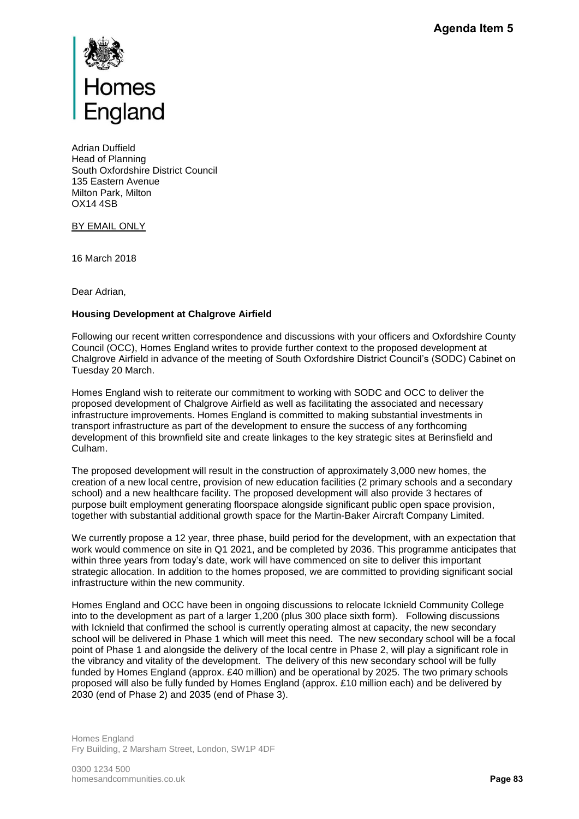

Adrian Duffield Head of Planning South Oxfordshire District Council 135 Eastern Avenue Milton Park, Milton OX14 4SB

BY EMAIL ONLY

16 March 2018

Dear Adrian,

## **Housing Development at Chalgrove Airfield**

Following our recent written correspondence and discussions with your officers and Oxfordshire County Council (OCC), Homes England writes to provide further context to the proposed development at Chalgrove Airfield in advance of the meeting of South Oxfordshire District Council's (SODC) Cabinet on Tuesday 20 March.

Homes England wish to reiterate our commitment to working with SODC and OCC to deliver the proposed development of Chalgrove Airfield as well as facilitating the associated and necessary infrastructure improvements. Homes England is committed to making substantial investments in transport infrastructure as part of the development to ensure the success of any forthcoming development of this brownfield site and create linkages to the key strategic sites at Berinsfield and Culham.

The proposed development will result in the construction of approximately 3,000 new homes, the creation of a new local centre, provision of new education facilities (2 primary schools and a secondary school) and a new healthcare facility. The proposed development will also provide 3 hectares of purpose built employment generating floorspace alongside significant public open space provision, together with substantial additional growth space for the Martin-Baker Aircraft Company Limited.

We currently propose a 12 year, three phase, build period for the development, with an expectation that work would commence on site in Q1 2021, and be completed by 2036. This programme anticipates that within three years from today's date, work will have commenced on site to deliver this important strategic allocation. In addition to the homes proposed, we are committed to providing significant social infrastructure within the new community.

Homes England and OCC have been in ongoing discussions to relocate Icknield Community College into to the development as part of a larger 1,200 (plus 300 place sixth form). Following discussions with Icknield that confirmed the school is currently operating almost at capacity, the new secondary school will be delivered in Phase 1 which will meet this need. The new secondary school will be a focal point of Phase 1 and alongside the delivery of the local centre in Phase 2, will play a significant role in the vibrancy and vitality of the development. The delivery of this new secondary school will be fully funded by Homes England (approx. £40 million) and be operational by 2025. The two primary schools proposed will also be fully funded by Homes England (approx. £10 million each) and be delivered by 2030 (end of Phase 2) and 2035 (end of Phase 3). **Pagenda Item 5**<br> **Pagenda Item 5**<br> **Pagenda Item 5**<br> **Pagenda Incessary**<br> **Pagenda Incoressary**<br> **Pagenda Incoming**<br> **Pagenda Item Section And Algority Incessary**<br> **Pagenda Incoressary**<br> **Pagenda Incoressary**<br> **Pagenda In** 

Homes England Fry Building, 2 Marsham Street, London, SW1P 4DF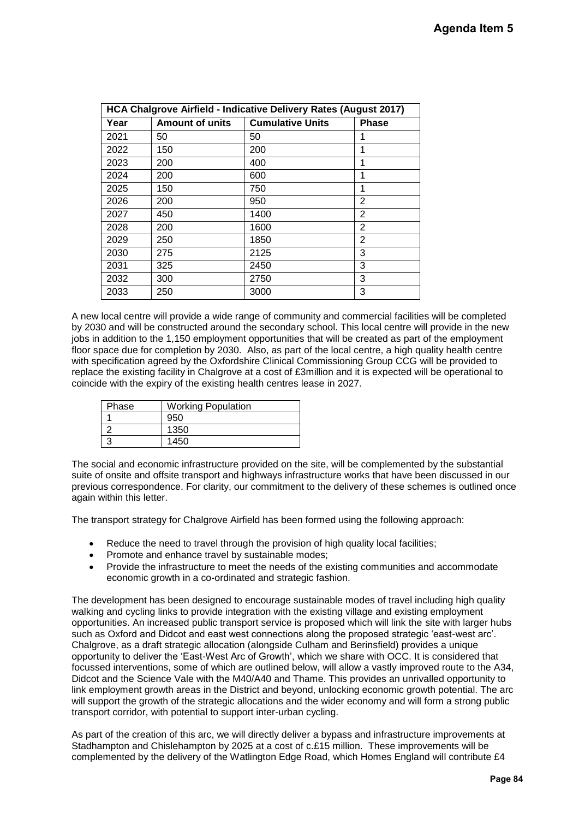| HCA Chalgrove Airfield - Indicative Delivery Rates (August 2017) |                        |                         |   |  |  |
|------------------------------------------------------------------|------------------------|-------------------------|---|--|--|
| Year                                                             | <b>Amount of units</b> | <b>Cumulative Units</b> |   |  |  |
| 2021                                                             | 50                     | 50                      | 1 |  |  |
| 2022                                                             | 150                    | 200                     | 1 |  |  |
| 2023                                                             | 200                    | 400                     | 1 |  |  |
| 2024                                                             | 200                    | 600                     | 1 |  |  |
| 2025                                                             | 150                    | 750                     | 1 |  |  |
| 2026                                                             | 200                    | 950                     | 2 |  |  |
| 2027                                                             | 450                    | 1400                    | 2 |  |  |
| 2028                                                             | 200                    | 1600                    | 2 |  |  |
| 2029                                                             | 250                    | 1850                    | 2 |  |  |
| 2030                                                             | 275                    | 2125                    | 3 |  |  |
| 2031                                                             | 325                    | 2450                    | 3 |  |  |
| 2032                                                             | 300                    | 2750                    | 3 |  |  |
| 2033                                                             | 250                    | 3000                    | 3 |  |  |

A new local centre will provide a wide range of community and commercial facilities will be completed by 2030 and will be constructed around the secondary school. This local centre will provide in the new jobs in addition to the 1,150 employment opportunities that will be created as part of the employment floor space due for completion by 2030. Also, as part of the local centre, a high quality health centre with specification agreed by the Oxfordshire Clinical Commissioning Group CCG will be provided to replace the existing facility in Chalgrove at a cost of £3million and it is expected will be operational to coincide with the expiry of the existing health centres lease in 2027.

| Phase | <b>Working Population</b> |  |
|-------|---------------------------|--|
|       | 950                       |  |
|       | 1350                      |  |
|       | 1450                      |  |

The social and economic infrastructure provided on the site, will be complemented by the substantial suite of onsite and offsite transport and highways infrastructure works that have been discussed in our previous correspondence. For clarity, our commitment to the delivery of these schemes is outlined once again within this letter.

The transport strategy for Chalgrove Airfield has been formed using the following approach:

- Reduce the need to travel through the provision of high quality local facilities;
- Promote and enhance travel by sustainable modes;
- Provide the infrastructure to meet the needs of the existing communities and accommodate economic growth in a co-ordinated and strategic fashion.

The development has been designed to encourage sustainable modes of travel including high quality walking and cycling links to provide integration with the existing village and existing employment opportunities. An increased public transport service is proposed which will link the site with larger hubs such as Oxford and Didcot and east west connections along the proposed strategic 'east-west arc'. Chalgrove, as a draft strategic allocation (alongside Culham and Berinsfield) provides a unique opportunity to deliver the 'East-West Arc of Growth', which we share with OCC. It is considered that focussed interventions, some of which are outlined below, will allow a vastly improved route to the A34, Didcot and the Science Vale with the M40/A40 and Thame. This provides an unrivalled opportunity to link employment growth areas in the District and beyond, unlocking economic growth potential. The arc will support the growth of the strategic allocations and the wider economy and will form a strong public transport corridor, with potential to support inter-urban cycling. Momeral Solution<br>
Will be completed<br>
provide in the new<br>
the employment<br>
ity health centre<br>
be provided to<br>
be operational to<br>
personal to<br>
of personal of the substantial<br>
provided in our<br>
provided in the seasure<br>
extracti

As part of the creation of this arc, we will directly deliver a bypass and infrastructure improvements at Stadhampton and Chislehampton by 2025 at a cost of c.£15 million. These improvements will be complemented by the delivery of the Watlington Edge Road, which Homes England will contribute £4